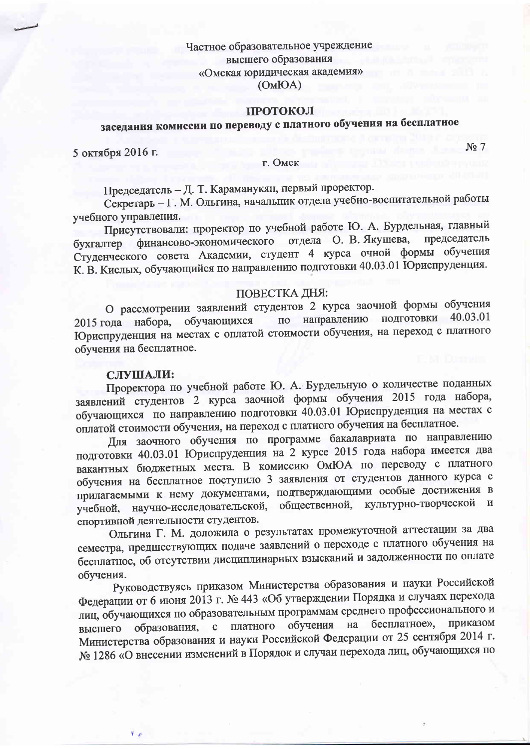Частное образовательное учреждение высшего образования «Омская юридическая академия»  $(OMBOA)$ 

#### ПРОТОКОЛ

# заседания комиссии по переводу с платного обучения на бесплатное

5 октября 2016 г.

### г. Омск

Председатель - Д. Т. Караманукян, первый проректор.

Секретарь - Г. М. Ольгина, начальник отдела учебно-воспитательной работы учебного управления.

Присутствовали: проректор по учебной работе Ю. А. Бурдельная, главный председатель бухгалтер финансово-экономического отдела О. В. Якушева, Студенческого совета Академии, студент 4 курса очной формы обучения К. В. Кислых, обучающийся по направлению подготовки 40.03.01 Юриспруденция.

#### ПОВЕСТКА ДНЯ:

О рассмотрении заявлений студентов 2 курса заочной формы обучения подготовки 40.03.01 направлению обучающихся 2015 года набора,  $\overline{10}$ Юриспруденция на местах с оплатой стоимости обучения, на переход с платного обучения на бесплатное.

## СЛУШАЛИ:

Проректора по учебной работе Ю. А. Бурдельную о количестве поданных заявлений студентов 2 курса заочной формы обучения 2015 года набора, обучающихся по направлению подготовки 40.03.01 Юриспруденция на местах с оплатой стоимости обучения, на переход с платного обучения на бесплатное.

Для заочного обучения по программе бакалавриата по направлению подготовки 40.03.01 Юриспруденция на 2 курсе 2015 года набора имеется два вакантных бюджетных места. В комиссию ОмЮА по переводу с платного обучения на бесплатное поступило 3 заявления от студентов данного курса с прилагаемыми к нему документами, подтверждающими особые достижения в научно-исследовательской, общественной, культурно-творческой и учебной, спортивной деятельности студентов.

Ольгина Г. М. доложила о результатах промежуточной аттестации за два семестра, предшествующих подаче заявлений о переходе с платного обучения на бесплатное, об отсутствии дисциплинарных взысканий и задолженности по оплате обучения.

Руководствуясь приказом Министерства образования и науки Российской Федерации от 6 июня 2013 г. № 443 «Об утверждении Порядка и случаях перехода лиц, обучающихся по образовательным программам среднего профессионального и образования, с платного обучения на бесплатное», приказом высшего Министерства образования и науки Российской Федерации от 25 сентября 2014 г. № 1286 «О внесении изменений в Порядок и случаи перехода лиц, обучающихся по

 $N<sub>2</sub>$  7